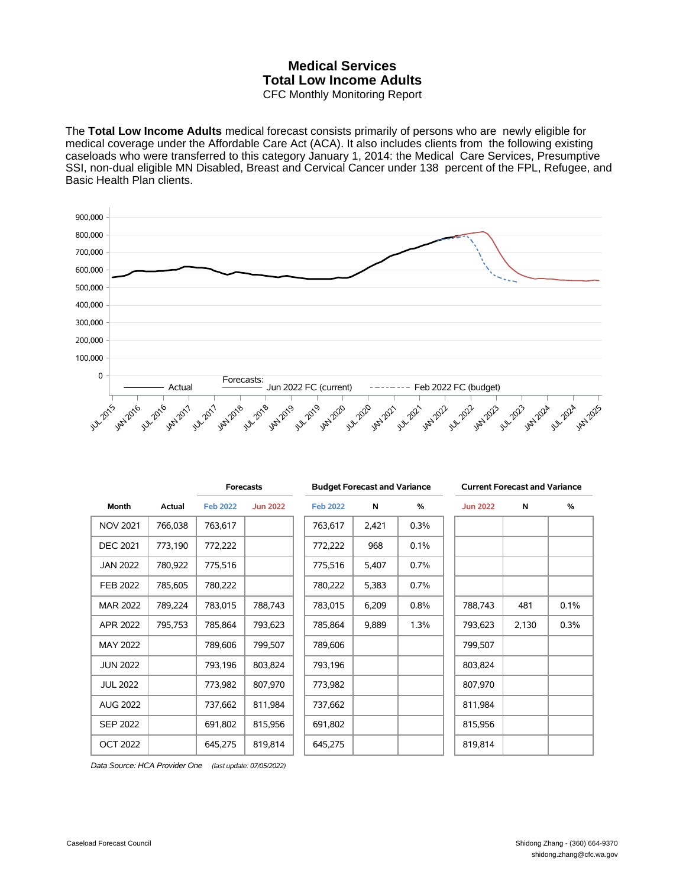## **Medical Services Total Low Income Adults** CFC Monthly Monitoring Report

The **Total Low Income Adults** medical forecast consists primarily of persons who are newly eligible for medical coverage under the Affordable Care Act (ACA). It also includes clients from the following existing caseloads who were transferred to this category January 1, 2014: the Medical Care Services, Presumptive SSI, non-dual eligible MN Disabled, Breast and Cervical Cancer under 138 percent of the FPL, Refugee, and Basic Health Plan clients.



| Month           | Actual  | <b>Forecasts</b> |                 | <b>Budget Forecast and Variance</b> |       |      | <b>Current Forecast and Variance</b> |       |      |
|-----------------|---------|------------------|-----------------|-------------------------------------|-------|------|--------------------------------------|-------|------|
|                 |         | <b>Feb 2022</b>  | <b>Jun 2022</b> | <b>Feb 2022</b>                     | N     | %    | <b>Jun 2022</b>                      | N     | %    |
| <b>NOV 2021</b> | 766,038 | 763,617          |                 | 763,617                             | 2,421 | 0.3% |                                      |       |      |
| <b>DEC 2021</b> | 773,190 | 772,222          |                 | 772,222                             | 968   | 0.1% |                                      |       |      |
| <b>JAN 2022</b> | 780,922 | 775,516          |                 | 775,516                             | 5,407 | 0.7% |                                      |       |      |
| FEB 2022        | 785,605 | 780,222          |                 | 780,222                             | 5,383 | 0.7% |                                      |       |      |
| <b>MAR 2022</b> | 789,224 | 783,015          | 788,743         | 783,015                             | 6,209 | 0.8% | 788,743                              | 481   | 0.1% |
| APR 2022        | 795,753 | 785,864          | 793,623         | 785,864                             | 9,889 | 1.3% | 793,623                              | 2,130 | 0.3% |
| MAY 2022        |         | 789,606          | 799,507         | 789,606                             |       |      | 799,507                              |       |      |
| <b>JUN 2022</b> |         | 793,196          | 803,824         | 793,196                             |       |      | 803,824                              |       |      |
| <b>JUL 2022</b> |         | 773,982          | 807,970         | 773,982                             |       |      | 807,970                              |       |      |
| <b>AUG 2022</b> |         | 737,662          | 811,984         | 737,662                             |       |      | 811,984                              |       |      |
| <b>SEP 2022</b> |         | 691,802          | 815,956         | 691,802                             |       |      | 815,956                              |       |      |
| <b>OCT 2022</b> |         | 645,275          | 819,814         | 645,275                             |       |      | 819,814                              |       |      |

*Data Source: HCA Provider One (last update: 07/05/2022)*